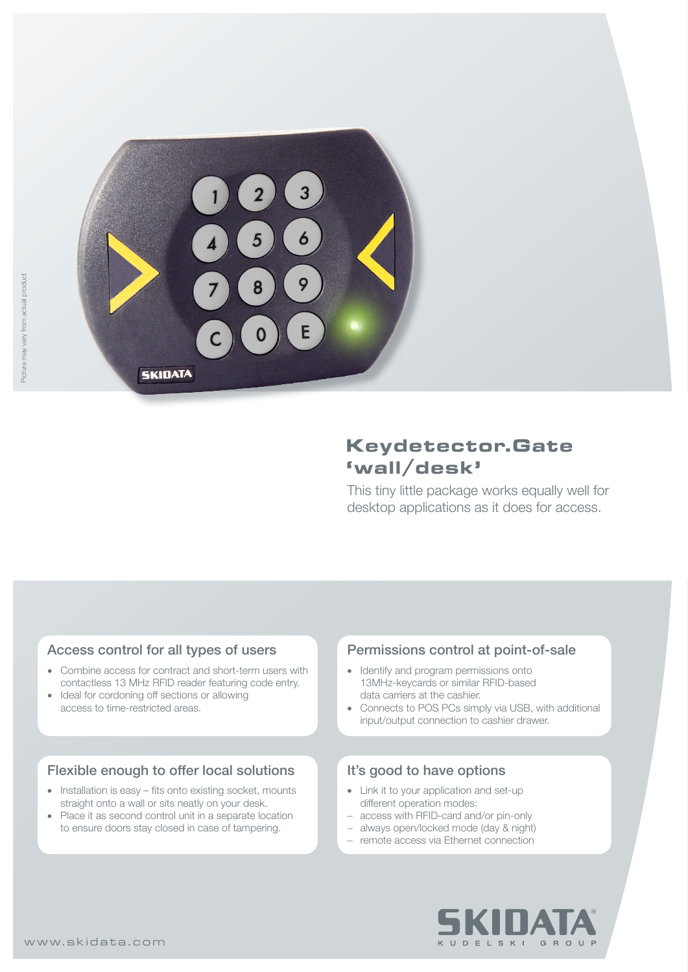

# **Keydetector.Gate 'wall/desk'**

This tiny little package works equally well for desktop applications as it does for access.

## Access control for all types of users

- Combine access for contract and short-term users with contactless 13 MHz RFID reader featuring code entry.
- Ideal for cordoning off sections or allowing access to time-restricted areas.

## Flexible enough to offer local solutions

- Installation is easy fits onto existing socket, mounts straight onto a wall or sits neatly on your desk.
- Place it as second control unit in a separate location to ensure doors stay closed in case of tampering.

## Permissions control at point-of-sale

- Identify and program permissions onto 13MHz-keycards or similar RFID-based data carriers at the cashier.
- Connects to POS PCs simply via USB, with additional input/output connection to cashier drawer.

## It's good to have options

- Link it to your application and set-up different operation modes:
- − access with RFID-card and/or pin-only
- − always open/locked mode (day & night)
- − remote access via Ethernet connection